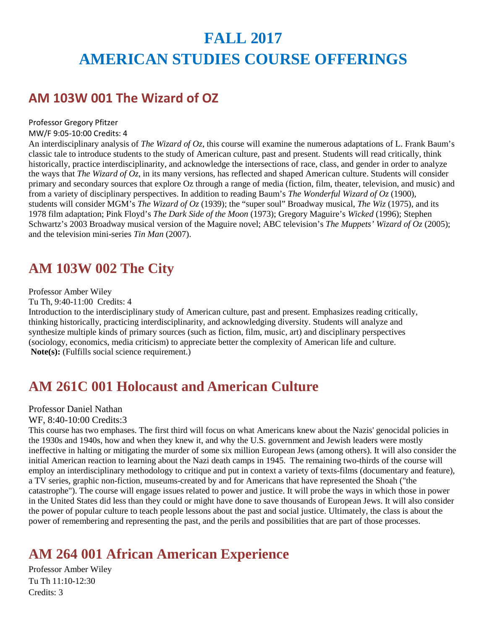# **FALL 2017 AMERICAN STUDIES COURSE OFFERINGS**

### **AM 103W 001 The Wizard of OZ**

### Professor Gregory Pfitzer

MW/F 9:05-10:00 Credits: 4

An interdisciplinary analysis of *The Wizard of Oz*, this course will examine the numerous adaptations of L. Frank Baum's classic tale to introduce students to the study of American culture, past and present. Students will read critically, think historically, practice interdisciplinarity, and acknowledge the intersections of race, class, and gender in order to analyze the ways that *The Wizard of Oz*, in its many versions, has reflected and shaped American culture. Students will consider primary and secondary sources that explore Oz through a range of media (fiction, film, theater, television, and music) and from a variety of disciplinary perspectives. In addition to reading Baum's *The Wonderful Wizard of Oz* (1900), students will consider MGM's *The Wizard of Oz* (1939); the "super soul" Broadway musical, *The Wiz* (1975), and its 1978 film adaptation; Pink Floyd's *The Dark Side of the Moon* (1973); Gregory Maguire's *Wicked* (1996); Stephen Schwartz's 2003 Broadway musical version of the Maguire novel; ABC television's *The Muppets' Wizard of Oz* (2005); and the television mini-series *Tin Man* (2007).

# **AM 103W 002 The City**

### Professor Amber Wiley

Tu Th, 9:40-11:00 Credits: 4

Introduction to the interdisciplinary study of American culture, past and present. Emphasizes reading critically, thinking historically, practicing interdisciplinarity, and acknowledging diversity. Students will analyze and synthesize multiple kinds of primary sources (such as fiction, film, music, art) and disciplinary perspectives (sociology, economics, media criticism) to appreciate better the complexity of American life and culture. **Note(s):** (Fulfills social science requirement.)

# **AM 261C 001 Holocaust and American Culture**

### Professor Daniel Nathan

### WF, 8:40-10:00 Credits:3

This course has two emphases. The first third will focus on what Americans knew about the Nazis' genocidal policies in the 1930s and 1940s, how and when they knew it, and why the U.S. government and Jewish leaders were mostly ineffective in halting or mitigating the murder of some six million European Jews (among others). It will also consider the initial American reaction to learning about the Nazi death camps in 1945. The remaining two-thirds of the course will employ an interdisciplinary methodology to critique and put in context a variety of texts-films (documentary and feature), a TV series, graphic non-fiction, museums-created by and for Americans that have represented the Shoah ("the catastrophe"). The course will engage issues related to power and justice. It will probe the ways in which those in power in the United States did less than they could or might have done to save thousands of European Jews. It will also consider the power of popular culture to teach people lessons about the past and social justice. Ultimately, the class is about the power of remembering and representing the past, and the perils and possibilities that are part of those processes.

# **AM 264 001 African American Experience**

Professor Amber Wiley Tu Th 11:10-12:30 Credits: 3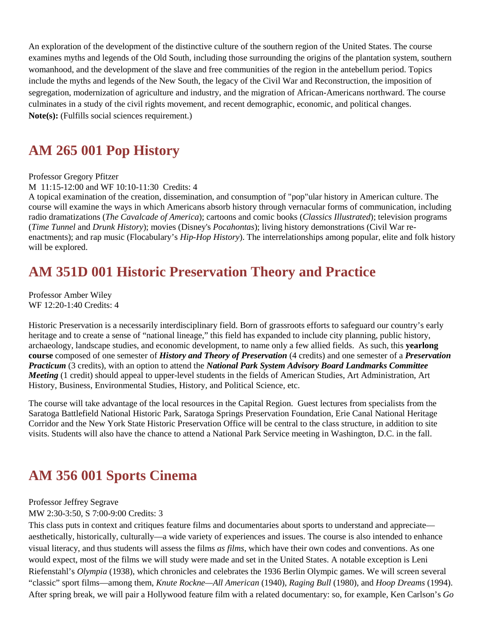An exploration of the development of the distinctive culture of the southern region of the United States. The course examines myths and legends of the Old South, including those surrounding the origins of the plantation system, southern womanhood, and the development of the slave and free communities of the region in the antebellum period. Topics include the myths and legends of the New South, the legacy of the Civil War and Reconstruction, the imposition of segregation, modernization of agriculture and industry, and the migration of African-Americans northward. The course culminates in a study of the civil rights movement, and recent demographic, economic, and political changes. **Note(s):** (Fulfills social sciences requirement.)

### **AM 265 001 Pop History**

### Professor Gregory Pfitzer

M 11:15-12:00 and WF 10:10-11:30 Credits: 4

A topical examination of the creation, dissemination, and consumption of "pop"ular history in American culture. The course will examine the ways in which Americans absorb history through vernacular forms of communication, including radio dramatizations (*The Cavalcade of America*); cartoons and comic books (*Classics Illustrated*); television programs (*Time Tunnel* and *Drunk History*); movies (Disney's *Pocahontas*); living history demonstrations (Civil War reenactments); and rap music (Flocabulary's *Hip-Hop History*). The interrelationships among popular, elite and folk history will be explored.

# **AM 351D 001 Historic Preservation Theory and Practice**

Professor Amber Wiley WF 12:20-1:40 Credits: 4

Historic Preservation is a necessarily interdisciplinary field. Born of grassroots efforts to safeguard our country's early heritage and to create a sense of "national lineage," this field has expanded to include city planning, public history, archaeology, landscape studies, and economic development, to name only a few allied fields. As such, this **yearlong course** composed of one semester of *History and Theory of Preservation* (4 credits) and one semester of a *Preservation Practicum* (3 credits), with an option to attend the *National Park System Advisory Board Landmarks Committee Meeting* (1 credit) should appeal to upper-level students in the fields of American Studies, Art Administration, Art History, Business, Environmental Studies, History, and Political Science, etc.

The course will take advantage of the local resources in the Capital Region. Guest lectures from specialists from the Saratoga Battlefield National Historic Park, Saratoga Springs Preservation Foundation, Erie Canal National Heritage Corridor and the New York State Historic Preservation Office will be central to the class structure, in addition to site visits. Students will also have the chance to attend a National Park Service meeting in Washington, D.C. in the fall.

# **AM 356 001 Sports Cinema**

#### Professor Jeffrey Segrave

MW 2:30-3:50, S 7:00-9:00 Credits: 3

This class puts in context and critiques feature films and documentaries about sports to understand and appreciate aesthetically, historically, culturally—a wide variety of experiences and issues. The course is also intended to enhance visual literacy, and thus students will assess the films *as films*, which have their own codes and conventions. As one would expect, most of the films we will study were made and set in the United States. A notable exception is Leni Riefenstahl's *Olympia* (1938), which chronicles and celebrates the 1936 Berlin Olympic games. We will screen several "classic" sport films—among them, *Knute Rockne—All American* (1940), *Raging Bull* (1980), and *Hoop Dreams* (1994). After spring break, we will pair a Hollywood feature film with a related documentary: so, for example, Ken Carlson's *Go*